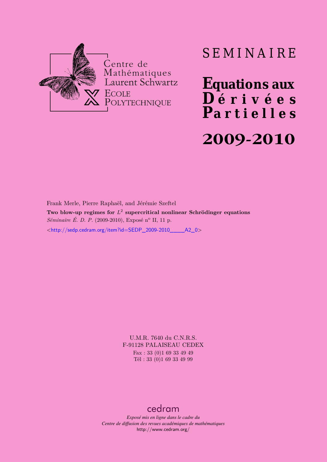

# SEMINAIRE

**Equations aux**  $\overline{\mathbf{D}}$  érivées **Partielles 2009-2010**

Frank Merle, Pierre Raphaël, and Jérémie Szeftel **Two blow-up regimes for** *L* 2 **supercritical nonlinear Schrödinger equations** *Séminaire É. D. P.* (2009-2010), Exposé n<sup>o</sup> II, 11 p. <[http://sedp.cedram.org/item?id=SEDP\\_2009-2010\\_\\_\\_\\_A2\\_0](http://sedp.cedram.org/item?id=SEDP_2009-2010____A2_0)>

> U.M.R. 7640 du C.N.R.S. F-91128 PALAISEAU CEDEX Fax : 33 (0)1 69 33 49 49 Tél : 33 (0)1 69 33 49 99

# [cedram](http://www.cedram.org/)

*Exposé mis en ligne dans le cadre du Centre de diffusion des revues académiques de mathématiques* <http://www.cedram.org/>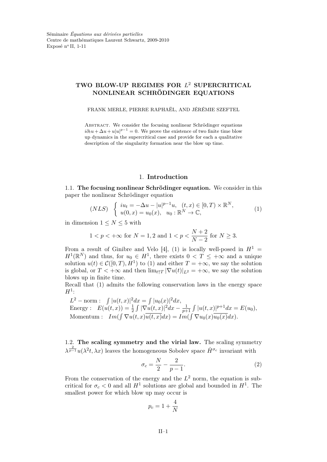# TWO BLOW-UP REGIMES FOR  $L^2$  SUPERCRITICAL NONLINEAR SCHRÖDINGER EQUATIONS

FRANK MERLE, PIERRE RAPHAËL, AND JÉRÉMIE SZEFTEL

Abstract. We consider the focusing nonlinear Schrödinger equations  $i\partial_t u + \Delta u + u|u|^{p-1} = 0$ . We prove the existence of two finite time blow up dynamics in the supercritical case and provide for each a qualitative description of the singularity formation near the blow up time.

# 1. Introduction

1.1. The focusing nonlinear Schrödinger equation. We consider in this paper the nonlinear Schrödinger equation

$$
(NLS) \begin{cases} iu_t = -\Delta u - |u|^{p-1}u, & (t, x) \in [0, T) \times \mathbb{R}^N, \\ u(0, x) = u_0(x), & u_0 : \mathbb{R}^N \to \mathbb{C}, \end{cases}
$$
(1)

in dimension  $1 \leq N \leq 5$  with

$$
1 < p < +\infty
$$
 for  $N = 1, 2$  and  $1 < p < \frac{N+2}{N-2}$  for  $N \ge 3$ .

From a result of Ginibre and Velo [4], (1) is locally well-posed in  $H^1$  =  $H^1(\mathbb{R}^N)$  and thus, for  $u_0 \in H^1$ , there exists  $0 < T \leq +\infty$  and a unique solution  $u(t) \in \mathcal{C}([0,T), H^1)$  to (1) and either  $T = +\infty$ , we say the solution is global, or  $T < +\infty$  and then  $\lim_{t \uparrow T} |\nabla u(t)|_{L^2} = +\infty$ , we say the solution blows up in finite time.

Recall that (1) admits the following conservation laws in the energy space  $H^1$ :

 $L^2 - \text{norm}: \int |u(t,x)|^2 dx = \int |u_0(x)|^2 dx,$ Energy :  $E(u(t, x)) = \frac{1}{2} \int |\nabla u(t, x)|^2 dx - \frac{1}{p+1}$  $\frac{1}{p+1} \int |u(t,x)|^{p+1} dx = E(u_0),$ Momentum :  $Im(\int \nabla u(t,x)\overline{u(t,x)}dx) = Im(\int \nabla u_0(x)\overline{u_0(x)}dx)$ .

1.2. The scaling symmetry and the virial law. The scaling symmetry  $\lambda^{\frac{2}{p-1}}u(\lambda^2t,\lambda x)$  leaves the homogeneous Sobolev space  $\dot{H}^{\sigma_c}$  invariant with

$$
\sigma_c = \frac{N}{2} - \frac{2}{p-1}.\tag{2}
$$

From the conservation of the energy and the  $L^2$  norm, the equation is subcritical for  $\sigma_c < 0$  and all  $H^1$  solutions are global and bounded in  $H^1$ . The smallest power for which blow up may occur is

$$
p_c = 1 + \frac{4}{N}
$$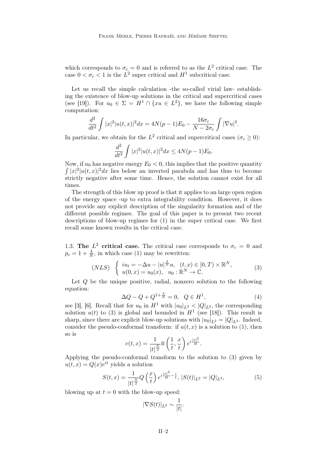which corresponds to  $\sigma_c = 0$  and is referred to as the  $L^2$  critical case. The case  $0 < \sigma_c < 1$  is the  $L^2$  super critical and  $H^1$  subcritical case.

Let us recall the simple calculation -the so-called virial law- establishing the existence of blow-up solutions in the critical and supercritical cases (see [19]). For  $u_0 \in \Sigma = H^1 \cap \{xu \in L^2\}$ , we have the following simple computation:

$$
\frac{d^2}{dt^2} \int |x|^2 |u(t,x)|^2 dx = 4N(p-1)E_0 - \frac{16\sigma_c}{N - 2\sigma_c} \int |\nabla u|^2.
$$

In particular, we obtain for the  $L^2$  critical and supercritical cases  $(\sigma_c \ge 0)$ :

$$
\frac{d^2}{dt^2} \int |x|^2 |u(t,x)|^2 dx \le 4N(p-1)E_0.
$$

Now, if  $u_0$  has negative energy  $E_0 < 0$ , this implies that the positive quantity  $\int |x|^2 |u(t,x)|^2 dx$  lies below an inverted parabola and has thus to become strictly negative after some time. Hence, the solution cannot exist for all times.

The strength of this blow up proof is that it applies to an large open region of the energy space -up to extra integrability condition. However, it does not provide any explicit description of the singularity formation and of the different possible regimes. The goal of this paper is to present two recent descriptions of blow-up regimes for (1) in the super critical case. We first recall some known results in the critical case.

1.3. The  $L^2$  critical case. The critical case corresponds to  $\sigma_c = 0$  and  $p_c = 1 + \frac{4}{N}$ , in which case (1) may be rewritten:

$$
(NLS) \begin{cases} iu_t = -\Delta u - |u|^{\frac{4}{N}}u, & (t, x) \in [0, T) \times \mathbb{R}^N, \\ u(0, x) = u_0(x), & u_0 : \mathbb{R}^N \to \mathbb{C}. \end{cases}
$$
(3)

Let  $Q$  be the unique positive, radial, nonzero solution to the following equation:

$$
\Delta Q - Q + Q^{1 + \frac{4}{N}} = 0, \ \ Q \in H^1,\tag{4}
$$

see [3], [6]. Recall that for  $u_0$  in  $H^1$  with  $|u_0|_{L^2} < |Q|_{L^2}$ , the corresponding solution  $u(t)$  to (3) is global and bounded in  $H<sup>1</sup>$  (see [18]). This result is sharp, since there are explicit blow-up solutions with  $|u_0|_{L^2} = |Q|_{L^2}$ . Indeed, consider the pseudo-conformal transform: if  $u(t, x)$  is a solution to (1), then so is

$$
v(t,x) = \frac{1}{|t|^{\frac{N}{2}}}\overline{u}\left(\frac{1}{t},\frac{x}{t}\right)e^{i\frac{|x|^2}{4t}}.
$$

Applying the pseudo-conformal transform to the solution to (3) given by  $u(t,x) = Q(x)e^{it}$  yields a solution

$$
S(t,x) = \frac{1}{|t|^{\frac{N}{2}}} Q\left(\frac{x}{t}\right) e^{i\frac{|x|^2}{4t} - \frac{i}{t}}, \ |S(t)|_{L^2} = |Q|_{L^2},\tag{5}
$$

blowing up at  $t = 0$  with the blow-up speed:

$$
|\nabla S(t)|_{L^2} \sim \frac{1}{|t|}.
$$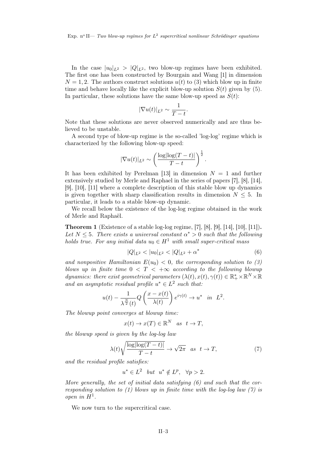In the case  $|u_0|_{L^2} > |Q|_{L^2}$ , two blow-up regimes have been exhibited. The first one has been constructed by Bourgain and Wang [1] in dimension  $N = 1, 2$ . The authors construct solutions  $u(t)$  to (3) which blow up in finite time and behave locally like the explicit blow-up solution  $S(t)$  given by (5). In particular, these solutions have the same blow-up speed as  $S(t)$ :

$$
|\nabla u(t)|_{L^2} \sim \frac{1}{T-t}.
$$

Note that these solutions are never observed numerically and are thus believed to be unstable.

A second type of blow-up regime is the so-called 'log-log' regime which is characterized by the following blow-up speed:

$$
|\nabla u(t)|_{L^2} \sim \left(\frac{\log|\log(T-t)|}{T-t}\right)^{\frac{1}{2}}.
$$

It has been exhibited by Perelman [13] in dimension  $N = 1$  and further extensively studied by Merle and Raphael in the series of papers [7], [8], [14], [9], [10], [11] where a complete description of this stable blow up dynamics is given together with sharp classification results in dimension  $N \leq 5$ . In particular, it leads to a stable blow-up dynamic.

We recall below the existence of the log-log regime obtained in the work of Merle and Raphaël.

Theorem 1 (Existence of a stable log-log regime, [7], [8], [9], [14], [10], [11]). Let  $N \leq 5$ . There exists a universal constant  $\alpha^* > 0$  such that the following holds true. For any initial data  $u_0 \in H^1$  with small super-critical mass

$$
|Q|_{L^2} < |u_0|_{L^2} < |Q|_{L^2} + \alpha^* \tag{6}
$$

and nonpositive Hamiltonian  $E(u_0) < 0$ , the corresponding solution to (3) blows up in finite time  $0 < T < +\infty$  according to the following blowup dynamics: there exist geometrical parameters  $(\lambda(t), x(t), \gamma(t)) \in \mathbb{R}_+^* \times \mathbb{R}^N \times \mathbb{R}$ and an asymptotic residual profile  $u^* \in L^2$  such that:

$$
u(t) - \frac{1}{\lambda^{\frac{N}{2}}(t)} Q\left(\frac{x - x(t)}{\lambda(t)}\right) e^{i\gamma(t)} \to u^* \quad in \quad L^2.
$$

The blowup point converges at blowup time:

$$
x(t) \to x(T) \in \mathbb{R}^N \quad as \quad t \to T,
$$

the blowup speed is given by the log-log law

$$
\lambda(t)\sqrt{\frac{\log|\log(T-t)|}{T-t}} \to \sqrt{2\pi} \quad as \quad t \to T,\tag{7}
$$

and the residual profile satisfies:

$$
u^* \in L^2 \quad but \quad u^* \notin L^p, \quad \forall p > 2.
$$

More generally, the set of initial data satisfying  $(6)$  and such that the corresponding solution to  $(1)$  blows up in finite time with the log-log law  $(7)$  is  $open\ in\ H^1.$ 

We now turn to the supercritical case.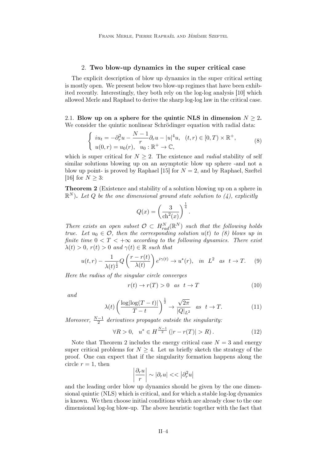#### 2. Two blow-up dynamics in the super critical case

The explicit description of blow up dynamics in the super critical setting is mostly open. We present below two blow-up regimes that have been exhibited recently. Interestingly, they both rely on the log-log analysis [10] which allowed Merle and Raphael to derive the sharp log-log law in the critical case.

2.1. Blow up on a sphere for the quintic NLS in dimension  $N \geq 2$ . We consider the quintic nonlinear Schrödinger equation with radial data:

$$
\begin{cases}\n iu_t = -\partial_r^2 u - \frac{N-1}{r} \partial_r u - |u|^4 u, & (t, r) \in [0, T) \times \mathbb{R}^+, \\
u(0, r) = u_0(r), & u_0 : \mathbb{R}^+ \to \mathbb{C},\n\end{cases} (8)
$$

which is super critical for  $N > 2$ . The existence and *radial* stability of self similar solutions blowing up on an asymptotic blow up sphere -and not a blow up point- is proved by Raphael [15] for  $N = 2$ , and by Raphael, Szeftel [16] for  $N > 3$ :

Theorem 2 (Existence and stability of a solution blowing up on a sphere in  $\mathbb{R}^N$ ). Let Q be the one dimensional ground state solution to (4), explicitly

$$
Q(x) = \left(\frac{3}{\mathrm{ch}^2(x)}\right)^{\frac{1}{4}}.
$$

There exists an open subset  $\mathcal{O} \subset H_{rad}^N(\mathbb{R}^N)$  such that the following holds true. Let  $u_0 \in \mathcal{O}$ , then the corresponding solution  $u(t)$  to (8) blows up in finite time  $0 < T < +\infty$  according to the following dynamics. There exist  $\lambda(t) > 0$ ,  $r(t) > 0$  and  $\gamma(t) \in \mathbb{R}$  such that

$$
u(t,r) - \frac{1}{\lambda(t)^{\frac{1}{2}}} Q\left(\frac{r - r(t)}{\lambda(t)}\right) e^{i\gamma(t)} \to u^*(r), \quad \text{in} \ \ L^2 \ \text{as} \ t \to T. \tag{9}
$$

Here the radius of the singular circle converges

$$
r(t) \to r(T) > 0 \quad as \quad t \to T \tag{10}
$$

and

$$
\lambda(t) \left(\frac{\log|\log(T-t)|}{T-t}\right)^{\frac{1}{2}} \to \frac{\sqrt{2\pi}}{|Q|_{L^2}} \quad as \quad t \to T. \tag{11}
$$

Moreover,  $\frac{N-1}{2}$  derivatives propagate outside the singularity:

$$
\forall R > 0, \quad u^* \in H^{\frac{N-1}{2}} \left( |r - r(T)| > R \right). \tag{12}
$$

Note that Theorem 2 includes the energy critical case  $N = 3$  and energy super critical problems for  $N \geq 4$ . Let us briefly sketch the strategy of the proof. One can expect that if the singularity formation happens along the circle  $r = 1$ , then

$$
\left|\frac{\partial_r u}{r}\right|\sim|\partial_r u|<<\left|\partial_r^2 u\right|
$$

and the leading order blow up dynamics should be given by the one dimensional quintic (NLS) which is critical, and for which a stable log-log dynamics is known. We then choose initial conditions which are already close to the one dimensional log-log blow-up. The above heuristic together with the fact that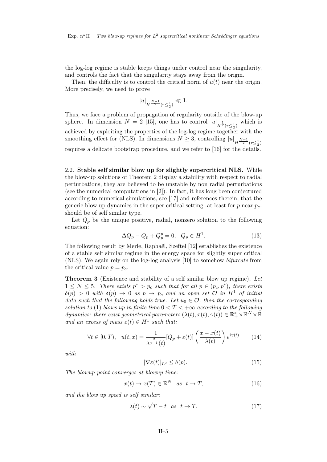the log-log regime is stable keeps things under control near the singularity, and controls the fact that the singularity stays away from the origin.

Then, the difficulty is to control the critical norm of  $u(t)$  near the origin. More precisely, we need to prove

$$
|u|_{H^{\frac{N-1}{2}}(r \le \frac{1}{2})} \ll 1.
$$

Thus, we face a problem of propagation of regularity outside of the blow-up sphere. In dimension  $N = 2$  [15], one has to control  $|u|_{H^{\frac{1}{2}}(r \leq \frac{1}{2})}$  which is achieved by exploiting the properties of the log-log regime together with the smoothing effect for (NLS). In dimensions  $N \geq 3$ , controlling  $|u|_{H^{\frac{N-1}{2}}(r \leq \frac{1}{2})}$ requires a delicate bootstrap procedure, and we refer to [16] for the details.

2.2. Stable self similar blow up for slightly supercritical NLS. While the blow-up solutions of Theorem 2 display a stability with respect to radial perturbations, they are believed to be unstable by non radial perturbations (see the numerical computations in [2]). In fact, it has long been conjectured according to numerical simulations, see [17] and references therein, that the generic blow up dynamics in the super critical setting -at least for p near  $p_c$ should be of self similar type.

Let  $Q_p$  be the unique positive, radial, nonzero solution to the following equation:

$$
\Delta Q_p - Q_p + Q_p^p = 0, \quad Q_p \in H^1. \tag{13}
$$

The following result by Merle, Raphaël, Szeftel [12] establishes the existence of a stable self similar regime in the energy space for slightly super critical (NLS). We again rely on the log-log analysis [10] to somehow bifurcate from the critical value  $p = p_c$ .

Theorem 3 (Existence and stability of a self similar blow up regime). Let  $1 \leq N \leq 5$ . There exists  $p^* > p_c$  such that for all  $p \in (p_c, p^*)$ , there exists  $\delta(p) > 0$  with  $\delta(p) \to 0$  as  $p \to p_c$  and an open set  $\mathcal O$  in  $H^1$  of initial data such that the following holds true. Let  $u_0 \in \mathcal{O}$ , then the corresponding solution to (1) blows up in finite time  $0 < T < +\infty$  according to the following dynamics: there exist geometrical parameters  $(\lambda(t), x(t), \gamma(t)) \in \mathbb{R}_+^* \times \mathbb{R}^N \times \mathbb{R}$ and an excess of mass  $\varepsilon(t) \in H^1$  such that:

$$
\forall t \in [0, T), \quad u(t, x) = \frac{1}{\lambda^{\frac{2}{p-1}}(t)} [Q_p + \varepsilon(t)] \left(\frac{x - x(t)}{\lambda(t)}\right) e^{i\gamma(t)} \tag{14}
$$

with

$$
|\nabla \varepsilon(t)|_{L^2} \le \delta(p). \tag{15}
$$

The blowup point converges at blowup time:

$$
x(t) \to x(T) \in \mathbb{R}^N \quad \text{as} \quad t \to T,\tag{16}
$$

and the blow up speed is self similar:

$$
\lambda(t) \sim \sqrt{T - t} \quad \text{as} \quad t \to T. \tag{17}
$$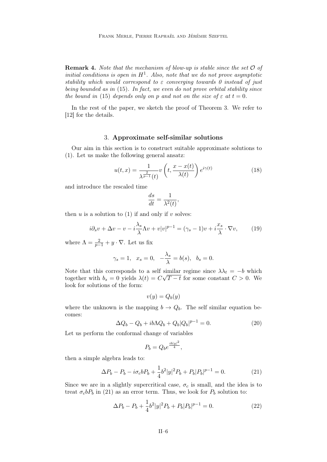**Remark 4.** Note that the mechanism of blow-up is stable since the set  $\mathcal{O}$  of initial conditions is open in  $H^1$ . Also, note that we do not prove asymptotic stability which would correspond to  $\varepsilon$  converging towards 0 instead of just being bounded as in (15). In fact, we even do not prove orbital stability since the bound in (15) depends only on p and not on the size of  $\varepsilon$  at  $t = 0$ .

In the rest of the paper, we sketch the proof of Theorem 3. We refer to [12] for the details.

# 3. Approximate self-similar solutions

Our aim in this section is to construct suitable approximate solutions to (1). Let us make the following general ansatz:

$$
u(t,x) = \frac{1}{\lambda^{\frac{2}{p-1}}(t)} v\left(t, \frac{x - x(t)}{\lambda(t)}\right) e^{i\gamma(t)}
$$
(18)

and introduce the rescaled time

$$
\frac{ds}{dt} = \frac{1}{\lambda^2(t)},
$$

then  $u$  is a solution to (1) if and only if  $v$  solves:

$$
i\partial_s v + \Delta v - v - i\frac{\lambda_s}{\lambda} \Lambda v + v|v|^{p-1} = (\gamma_s - 1)v + i\frac{x_s}{\lambda} \cdot \nabla v,\qquad(19)
$$

where  $\Lambda = \frac{2}{p-1} + y \cdot \nabla$ . Let us fix

$$
\gamma_s = 1
$$
,  $x_s = 0$ ,  $-\frac{\lambda_s}{\lambda} = b(s)$ ,  $b_s = 0$ .

Note that this corresponds to a self similar regime since  $\lambda \lambda_t = -b$  which together with  $b_s = 0$  yields  $\lambda(t) = C\sqrt{T-t}$  for some constant  $C > 0$ . We look for solutions of the form:

$$
v(y) = Q_b(y)
$$

where the unknown is the mapping  $b \to Q_b$ . The self similar equation becomes:

$$
\Delta Q_b - Q_b + ib\Lambda Q_b + Q_b|Q_b|^{p-1} = 0.
$$
\n
$$
(20)
$$

Let us perform the conformal change of variables

$$
P_b = Q_b e^{\frac{ib|y|^2}{4}},
$$

then a simple algebra leads to:

$$
\Delta P_b - P_b - i\sigma_c b P_b + \frac{1}{4}b^2|y|^2 P_b + P_b|P_b|^{p-1} = 0.
$$
 (21)

Since we are in a slightly supercritical case,  $\sigma_c$  is small, and the idea is to treat  $\sigma_c b P_b$  in (21) as an error term. Thus, we look for  $P_b$  solution to:

$$
\Delta P_b - P_b + \frac{1}{4}b^2|y|^2 P_b + P_b|P_b|^{p-1} = 0.
$$
\n(22)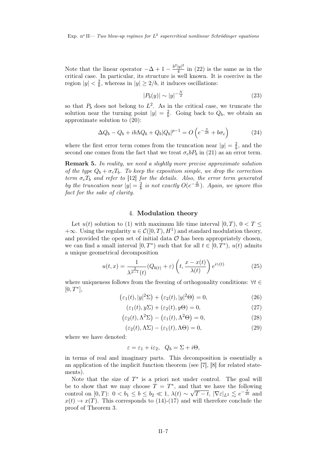$Exp.$  n<sup>o</sup> II— *Two blow-up regimes for*  $L^2$  supercritical nonlinear *Schrödinger equations* 

Note that the linear operator  $-\Delta + 1 - \frac{b^2 |y|^2}{4}$  $\frac{y_1}{4}$  in (22) is the same as in the critical case. In particular, its structure is well known. It is coercive in the region  $|y| < \frac{2}{b}$  $\frac{2}{b}$ , whereas in  $|y| \geq 2/b$ , it induces oscillations:

$$
|P_b(y)| \sim |y|^{-\frac{N}{2}} \tag{23}
$$

so that  $P_b$  does not belong to  $L^2$ . As in the critical case, we truncate the solution near the turning point  $|y| = \frac{2}{b}$  $\frac{2}{b}$ . Going back to  $Q_b$ , we obtain an approximate solution to (20):

$$
\Delta Q_b - Q_b + ib\Lambda Q_b + Q_b|Q_b|^{p-1} = O\left(e^{-\frac{\pi}{2b}} + b\sigma_c\right) \tag{24}
$$

where the first error term comes from the truncation near  $|y| = \frac{2}{b}$  $\frac{2}{b}$ , and the second one comes from the fact that we treat  $\sigma_c bP_b$  in (21) as an error term.

Remark 5. In reality, we need a slightly more precise approximate solution of the type  $Q_b + \sigma_c T_b$ . To keep the exposition simple, we drop the correction term  $\sigma_c T_b$  and refer to [12] for the details. Also, the error term generated by the truncation near  $|y| = \frac{2}{b}$  $\frac{2}{b}$  is not exactly  $O(e^{-\frac{\pi}{2b}})$ . Again, we ignore this fact for the sake of clarity.

# 4. Modulation theory

Let  $u(t)$  solution to (1) with maximum life time interval [0, T],  $0 < T \le$  $+\infty$ . Using the regularity  $u \in \mathcal{C}([0,T),H^1)$  and standard modulation theory, and provided the open set of initial data  $\mathcal O$  has been appropriately chosen. we can find a small interval  $[0, T^*)$  such that for all  $t \in [0, T^*)$ ,  $u(t)$  admits a unique geometrical decomposition

$$
u(t,x) = \frac{1}{\lambda^{\frac{2}{p-1}}(t)}(Q_{b(t)} + \varepsilon) \left(t, \frac{x - x(t)}{\lambda(t)}\right) e^{i\gamma(t)}
$$
(25)

where uniqueness follows from the freezing of orthogonality conditions:  $\forall t \in$  $[0, T^*],$ 

$$
(\varepsilon_1(t), |y|^2 \Sigma) + (\varepsilon_2(t), |y|^2 \Theta) = 0,
$$
\n(26)

$$
(\varepsilon_1(t), y\Sigma) + (\varepsilon_2(t), y\Theta) = 0,\t(27)
$$

$$
(\varepsilon_2(t), \Lambda^2 \Sigma) - (\varepsilon_1(t), \Lambda^2 \Theta) = 0,
$$
\n(28)

$$
(\varepsilon_2(t), \Lambda\Sigma) - (\varepsilon_1(t), \Lambda\Theta) = 0,\tag{29}
$$

where we have denoted:

$$
\varepsilon = \varepsilon_1 + i\varepsilon_2, \quad Q_b = \Sigma + i\Theta,
$$

in terms of real and imaginary parts. This decomposition is essentially a an application of the implicit function theorem (see [7], [8] for related statements).

Note that the size of  $T^*$  is a priori not under control. The goal will be to show that we may choose  $T = T^*$ , and that we have the following control on  $[0, T)$ :  $0 < b_1 \le b \le b_2 \ll 1$ ,  $\lambda(t) \sim \sqrt{T-t}$ ,  $|\nabla \varepsilon|_{L^2} \lesssim e^{-\frac{\pi}{2b}}$  and  $x(t) \rightarrow x(T)$ . This corresponds to (14)-(17) and will therefore conclude the proof of Theorem 3.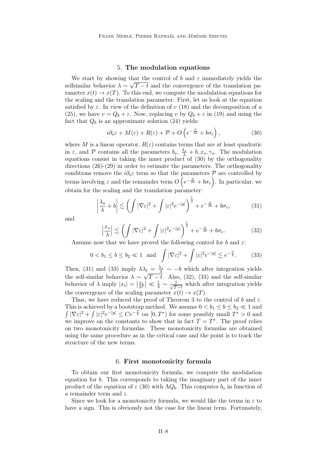#### 5. The modulation equations

We start by showing that the control of b and  $\varepsilon$  immediately yields the selfsimilar behavior  $\lambda \sim \sqrt{T-t}$  and the convergence of the translation parameter  $x(t) \to x(T)$ . To this end, we compute the modulation equations for the scaling and the translation parameter. First, let us look at the equation satisfied by  $\varepsilon$ . In view of the definition of v (18) and the decomposition of u (25), we have  $v = Q_b + \varepsilon$ . Now, replacing v by  $Q_b + \varepsilon$  in (19) and using the fact that  $Q_b$  is an approximate solution (24) yields:

$$
i\partial_s \varepsilon + M(\varepsilon) + R(\varepsilon) + \mathcal{P} + O\left(e^{-\frac{\pi}{2b}} + b\sigma_c\right),\tag{30}
$$

where M is a linear operator,  $R(\varepsilon)$  contains terms that are at least quadratic in  $\varepsilon$ , and  $\mathcal P$  contains all the parameters  $b_s$ ,  $\frac{\lambda_s}{\lambda} + b, x_s, \gamma_s$ . The modulation equations consist in taking the inner product of  $(30)$  by the orthogonality directions  $(26)-(29)$  in order to estimate the parameters. The orthogonality conditions remove the  $i\partial_s \varepsilon$  term so that the parameters  $\mathcal P$  are controlled by terms involving  $\varepsilon$  and the remainder term  $\widehat{O}(\widehat{e^{-\frac{\pi}{2b}}} + b\sigma_c)$ . In particular, we obtain for the scaling and the translation parameter:

$$
\left|\frac{\lambda_s}{\lambda} + b\right| \lesssim \left(\int |\nabla \varepsilon|^2 + \int |\varepsilon|^2 e^{-|y|}\right)^{\frac{1}{2}} + e^{-\frac{\pi}{2b}} + b\sigma_c,\tag{31}
$$

and

$$
\left|\frac{x_s}{\lambda}\right| \lesssim \left(\int |\nabla \varepsilon|^2 + \int |\varepsilon|^2 e^{-|y|}\right)^{\frac{1}{2}} + e^{-\frac{\pi}{2b}} + b\sigma_c.
$$
 (32)

Assume now that we have proved the following control for b and  $\varepsilon$ :

$$
0 < b_1 \le b \le b_2 \ll 1 \quad \text{and} \quad \int |\nabla \varepsilon|^2 + \int |\varepsilon|^2 e^{-|y|} \lesssim e^{-\frac{\pi}{b}}. \tag{33}
$$

Then, (31) and (33) imply  $\lambda \lambda_t = \frac{\lambda_s}{\lambda} \sim -b$  which after integration yields the self-similar behavior  $\lambda \sim \sqrt{T-t}$ . Also, (32), (33) and the self-similar behavior of  $\lambda$  imply  $|x_t| = \left|\frac{x_s}{\lambda^2}\right| \ll \frac{1}{\lambda} \sim \frac{1}{\sqrt{T}}$  $rac{1}{T-t}$  which after integration yields the convergence of the scaling parameter  $x(t) \to x(T)$ .

Thus, we have reduced the proof of Theorem 3 to the control of b and  $\varepsilon$ . This is achieved by a bootstrap method. We assume  $0 < b_1 \le b \le b_2 \ll 1$  and  $\int |\nabla \varepsilon|^2 + \int |\varepsilon|^2 e^{-|y|} \leq Ce^{-\frac{\pi}{b}}$  on  $[0, T^*)$  for some possibly small  $T^* > 0$  and we improve on the constants to show that in fact  $T = T^*$ . The proof relies on two monotonicity formulas. These monotonicity formulas are obtained using the same procedure as in the critical case and the point is to track the structure of the new terms.

#### 6. First monotonicity formula

To obtain our first monotonicity formula, we compute the modulation equation for b. This corresponds to taking the imaginary part of the inner product of the equation of  $\varepsilon$  (30) with  $\Lambda Q_b$ . This computes  $b_s$  in function of a remainder term and  $\varepsilon$ .

Since we look for a monotonicity formula, we would like the terms in  $\varepsilon$  to have a sign. This is obviously not the case for the linear term. Fortunately,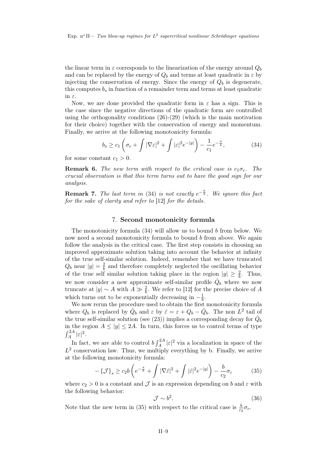the linear term in  $\varepsilon$  corresponds to the linearization of the energy around  $Q_b$ and can be replaced by the energy of  $Q_b$  and terms at least quadratic in  $\varepsilon$  by injecting the conservation of energy. Since the energy of  $Q_b$  is degenerate, this computes  $b_s$  in function of a remainder term and terms at least quadratic in ε.

Now, we are done provided the quadratic form in  $\varepsilon$  has a sign. This is the case since the negative directions of the quadratic form are controlled using the orthogonality conditions (26)-(29) (which is the main motivation for their choice) together with the conservation of energy and momentum. Finally, we arrive at the following monotonicity formula:

$$
b_s \ge c_1 \left(\sigma_c + \int |\nabla \varepsilon|^2 + \int |\varepsilon|^2 e^{-|y|} \right) - \frac{1}{c_1} e^{-\frac{\pi}{b}},\tag{34}
$$

for some constant  $c_1 > 0$ .

**Remark 6.** The new term with respect to the critical case is  $c_1\sigma_c$ . The crucial observation is that this term turns out to have the good sign for our analysis.

**Remark 7.** The last term in (34) is not exactly  $e^{-\frac{\pi}{b}}$ . We ignore this fact for the sake of clarity and refer to [12] for the details.

#### 7. Second monotonicity formula

The monotonicity formula (34) will allow us to bound b from below. We now need a second monotonicity formula to bound  $b$  from above. We again follow the analysis in the critical case. The first step consists in choosing an improved approximate solution taking into account the behavior at infinity of the true self-similar solution. Indeed, remember that we have truncated  $Q_b$  near  $|y| = \frac{2}{b}$  $\frac{2}{b}$  and therefore completely neglected the oscillating behavior of the true self similar solution taking place in the region  $|y| \geq \frac{2}{b}$ . Thus, we now consider a new approximate self-similar profile  $\hat{Q}_b$  where we now truncate at  $|y| \sim A$  with  $A \gg \frac{2}{b}$ . We refer to [12] for the precise choice of A which turns out to be exponentially decreasing in  $-\frac{1}{b}$  $\frac{1}{b}$ .

We now rerun the procedure used to obtain the first monotonicity formula where  $Q_b$  is replaced by  $\hat{Q}_b$  and  $\varepsilon$  by  $\hat{\varepsilon} = \varepsilon + Q_b - \hat{Q}_b$ . The non  $L^2$  tail of the true self-similar solution (see (23)) implies a corresponding decay for  $\hat{Q}_b$ in the region  $A \le |y| \le 2A$ . In turn, this forces us to control terms of type  $\int_A^{2A} |\varepsilon|^2.$ 

In fact, we are able to control  $b \int_A^{2A} |\varepsilon|^2$  via a localization in space of the  $L^2$  conservation law. Thus, we multiply everything by b. Finally, we arrive at the following monotonicity formula:

$$
-\{\mathcal{J}\}_s \ge c_2 b \left(e^{-\frac{\pi}{b}} + \int |\nabla \hat{\varepsilon}|^2 + \int |\hat{\varepsilon}|^2 e^{-|y|} \right) - \frac{b}{c_2} \sigma_c \tag{35}
$$

where  $c_2 > 0$  is a constant and  $\mathcal J$  is an expression depending on b and  $\varepsilon$  with the following behavior:

$$
\mathcal{J} \sim b^2. \tag{36}
$$

Note that the new term in (35) with respect to the critical case is  $\frac{b}{c_2}\sigma_c$ .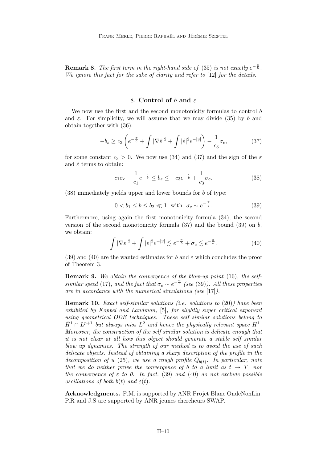**Remark 8.** The first term in the right-hand side of (35) is not exactly  $e^{-\frac{\pi}{b}}$ . We ignore this fact for the sake of clarity and refer to [12] for the details.

### 8. Control of b and  $\varepsilon$

We now use the first and the second monotonicity formulas to control b and  $\varepsilon$ . For simplicity, we will assume that we may divide (35) by b and obtain together with (36):

$$
-b_s \ge c_3 \left( e^{-\frac{\pi}{b}} + \int |\nabla \hat{\varepsilon}|^2 + \int |\hat{\varepsilon}|^2 e^{-|y|} \right) - \frac{1}{c_3} \sigma_c, \tag{37}
$$

for some constant  $c_3 > 0$ . We now use (34) and (37) and the sign of the  $\varepsilon$ and  $\hat{\varepsilon}$  terms to obtain:

$$
c_1 \sigma_c - \frac{1}{c_1} e^{-\frac{\pi}{b}} \le b_s \le -c_3 e^{-\frac{\pi}{b}} + \frac{1}{c_3} \sigma_c. \tag{38}
$$

(38) immediately yields upper and lower bounds for b of type:

$$
0 < b_1 \le b \le b_2 \ll 1 \quad \text{with} \quad \sigma_c \sim e^{-\frac{\pi}{b}}.\tag{39}
$$

Furthermore, using again the first monotonicity formula (34), the second version of the second monotonicity formula  $(37)$  and the bound  $(39)$  on b, we obtain:

$$
\int |\nabla \varepsilon|^2 + \int |\varepsilon|^2 e^{-|y|} \lesssim e^{-\frac{\pi}{b}} + \sigma_c \lesssim e^{-\frac{\pi}{b}}.
$$
 (40)

(39) and (40) are the wanted estimates for b and  $\varepsilon$  which concludes the proof of Theorem 3.

Remark 9. We obtain the convergence of the blow-up point (16), the selfsimilar speed (17), and the fact that  $\sigma_c \sim e^{-\frac{\pi}{b}}$  (see (39)). All these properties are in accordance with the numerical simulations (see [17]).

**Remark 10.** Exact self-similar solutions (i.e. solutions to  $(20)$ ) have been exhibited by Koppel and Landman, [5], for slightly super critical exponent using geometrical ODE techniques. These self similar solutions belong to  $\dot{H}^1 \cap L^{p+1}$  but always miss  $L^2$  and hence the physically relevant space  $H^1$ . Moreover, the construction of the self similar solution is delicate enough that it is not clear at all how this object should generate a stable self similar blow up dynamics. The strength of our method is to avoid the use of such delicate objects. Instead of obtaining a sharp description of the profile in the decomposition of u (25), we use a rough profile  $Q_{b(t)}$ . In particular, note that we do neither prove the convergence of b to a limit as  $t \to T$ , nor the convergence of  $\varepsilon$  to 0. In fact, (39) and (40) do not exclude possible oscillations of both  $b(t)$  and  $\varepsilon(t)$ .

Acknowledgments. F.M. is supported by ANR Projet Blanc OndeNonLin. P.R and J.S are supported by ANR jeunes chercheurs SWAP.